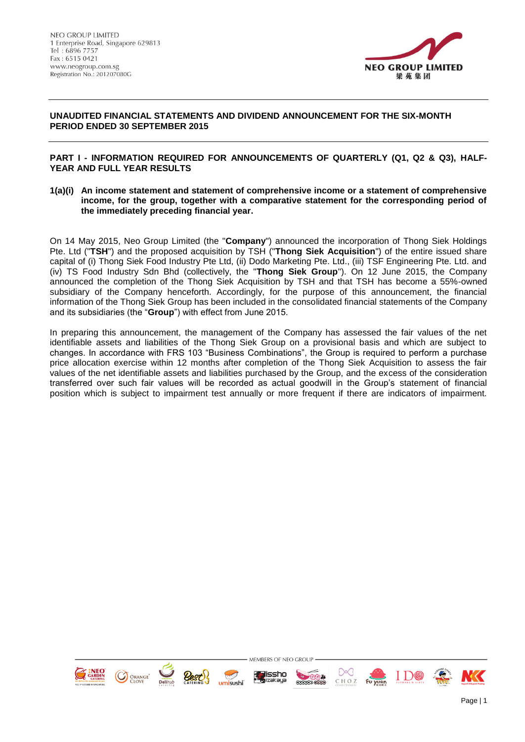

## **UNAUDITED FINANCIAL STATEMENTS AND DIVIDEND ANNOUNCEMENT FOR THE SIX-MONTH PERIOD ENDED 30 SEPTEMBER 2015**

## **PART I - INFORMATION REQUIRED FOR ANNOUNCEMENTS OF QUARTERLY (Q1, Q2 & Q3), HALF-YEAR AND FULL YEAR RESULTS**

**1(a)(i) An income statement and statement of comprehensive income or a statement of comprehensive income, for the group, together with a comparative statement for the corresponding period of the immediately preceding financial year.** 

On 14 May 2015, Neo Group Limited (the "**Company**") announced the incorporation of Thong Siek Holdings Pte. Ltd ("**TSH**") and the proposed acquisition by TSH ("**Thong Siek Acquisition**") of the entire issued share capital of (i) Thong Siek Food Industry Pte Ltd, (ii) Dodo Marketing Pte. Ltd., (iii) TSF Engineering Pte. Ltd. and (iv) TS Food Industry Sdn Bhd (collectively, the "**Thong Siek Group**"). On 12 June 2015, the Company announced the completion of the Thong Siek Acquisition by TSH and that TSH has become a 55%-owned subsidiary of the Company henceforth. Accordingly, for the purpose of this announcement, the financial information of the Thong Siek Group has been included in the consolidated financial statements of the Company and its subsidiaries (the "**Group**") with effect from June 2015.

In preparing this announcement, the management of the Company has assessed the fair values of the net identifiable assets and liabilities of the Thong Siek Group on a provisional basis and which are subject to changes. In accordance with FRS 103 "Business Combinations", the Group is required to perform a purchase price allocation exercise within 12 months after completion of the Thong Siek Acquisition to assess the fair values of the net identifiable assets and liabilities purchased by the Group, and the excess of the consideration transferred over such fair values will be recorded as actual goodwill in the Group's statement of financial position which is subject to impairment test annually or more frequent if there are indicators of impairment.

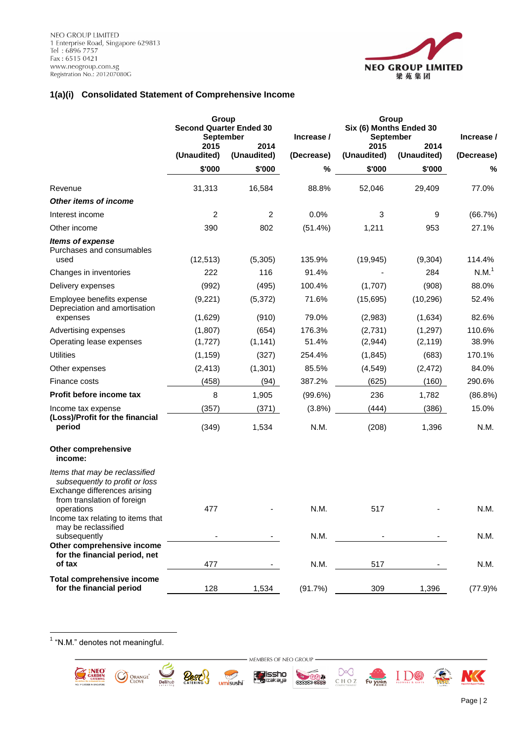

## **1(a)(i) Consolidated Statement of Comprehensive Income**

|                                                                                                                                 | Group<br><b>Second Quarter Ended 30</b><br><b>September</b><br>2015 | 2014           | Increase / | Group<br>Six (6) Months Ended 30<br><b>September</b><br>2015<br>2014 |             | Increase /        |
|---------------------------------------------------------------------------------------------------------------------------------|---------------------------------------------------------------------|----------------|------------|----------------------------------------------------------------------|-------------|-------------------|
|                                                                                                                                 | (Unaudited)                                                         | (Unaudited)    | (Decrease) | (Unaudited)                                                          | (Unaudited) | (Decrease)        |
|                                                                                                                                 | \$'000                                                              | \$'000         | %          | \$'000                                                               | \$'000      | %                 |
| Revenue                                                                                                                         | 31,313                                                              | 16,584         | 88.8%      | 52,046                                                               | 29,409      | 77.0%             |
| Other items of income                                                                                                           |                                                                     |                |            |                                                                      |             |                   |
| Interest income                                                                                                                 | $\overline{c}$                                                      | $\overline{c}$ | 0.0%       | 3                                                                    | 9           | (66.7%)           |
| Other income                                                                                                                    | 390                                                                 | 802            | $(51.4\%)$ | 1,211                                                                | 953         | 27.1%             |
| <b>Items of expense</b><br>Purchases and consumables<br>used                                                                    | (12, 513)                                                           | (5,305)        | 135.9%     | (19, 945)                                                            | (9, 304)    | 114.4%            |
| Changes in inventories                                                                                                          | 222                                                                 | 116            | 91.4%      |                                                                      | 284         | N.M. <sup>1</sup> |
| Delivery expenses                                                                                                               | (992)                                                               | (495)          | 100.4%     | (1,707)                                                              | (908)       | 88.0%             |
| Employee benefits expense<br>Depreciation and amortisation                                                                      | (9,221)                                                             | (5,372)        | 71.6%      | (15,695)                                                             | (10, 296)   | 52.4%             |
| expenses                                                                                                                        | (1,629)                                                             | (910)          | 79.0%      | (2,983)                                                              | (1,634)     | 82.6%             |
| Advertising expenses                                                                                                            | (1,807)                                                             | (654)          | 176.3%     | (2,731)                                                              | (1, 297)    | 110.6%            |
| Operating lease expenses                                                                                                        | (1,727)                                                             | (1, 141)       | 51.4%      | (2,944)                                                              | (2, 119)    | 38.9%             |
| <b>Utilities</b>                                                                                                                | (1, 159)                                                            | (327)          | 254.4%     | (1,845)                                                              | (683)       | 170.1%            |
| Other expenses                                                                                                                  | (2, 413)                                                            | (1,301)        | 85.5%      | (4, 549)                                                             | (2, 472)    | 84.0%             |
| Finance costs                                                                                                                   | (458)                                                               | (94)           | 387.2%     | (625)                                                                | (160)       | 290.6%            |
| Profit before income tax                                                                                                        | 8                                                                   | 1,905          | (99.6%)    | 236                                                                  | 1,782       | (86.8%)           |
| Income tax expense                                                                                                              | (357)                                                               | (371)          | (3.8%)     | (444)                                                                | (386)       | 15.0%             |
| (Loss)/Profit for the financial<br>period                                                                                       | (349)                                                               | 1,534          | N.M.       | (208)                                                                | 1,396       | N.M.              |
| Other comprehensive<br>income:                                                                                                  |                                                                     |                |            |                                                                      |             |                   |
| Items that may be reclassified<br>subsequently to profit or loss<br>Exchange differences arising<br>from translation of foreign |                                                                     |                |            |                                                                      |             |                   |
| operations<br>Income tax relating to items that<br>may be reclassified                                                          | 477                                                                 |                | N.M.       | 517                                                                  |             | N.M.              |
| subsequently<br>Other comprehensive income                                                                                      |                                                                     |                | N.M.       |                                                                      |             | N.M.              |
| for the financial period, net<br>of tax                                                                                         | 477                                                                 |                | N.M.       | 517                                                                  |             | N.M.              |
| <b>Total comprehensive income</b><br>for the financial period                                                                   | 128                                                                 | 1,534          | (91.7%)    | 309                                                                  | 1,396       | (77.9)%           |

1 "N.M." denotes not meaningful.

O ORANGE<sup>\*</sup>

- MEMBERS OF NEO GROUP -

**far**issho<br>• <mark>K</mark>izəkəyə

 $\bigodot$ 

umisushi

**Best** 

**Delihub** 

**RANDA** 

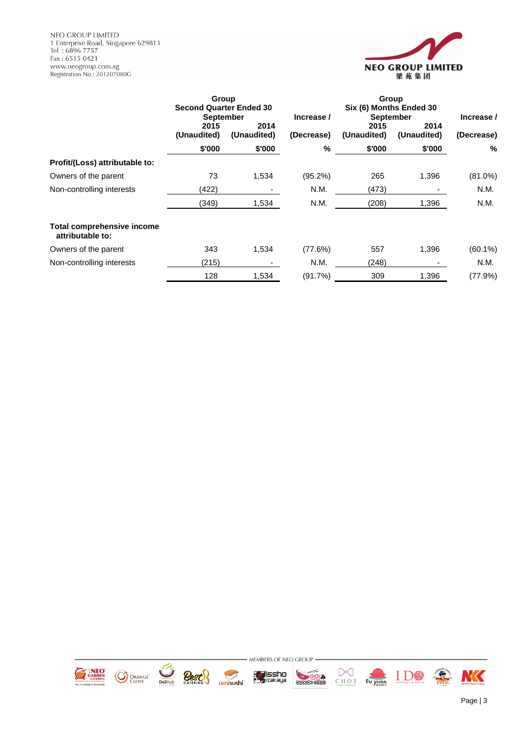NEO GROUP LIMITED NEO GROOP LIMITED<br>1 Enterprise Road, Singapore 629813<br>Tel : 6896 7757<br>Fax : 6515 0421<br>www.neogroup.com.sg<br>Registration No.: 201207080G



|                                                       | Group<br><b>Second Quarter Ended 30</b><br><b>September</b> |                     | Increase / | Group<br>Six (6) Months Ended 30<br><b>September</b> | Increase /          |            |
|-------------------------------------------------------|-------------------------------------------------------------|---------------------|------------|------------------------------------------------------|---------------------|------------|
|                                                       | 2015<br>(Unaudited)                                         | 2014<br>(Unaudited) | (Decrease) | 2015<br>(Unaudited)                                  | 2014<br>(Unaudited) | (Decrease) |
|                                                       | \$'000                                                      | \$'000              | %          | \$'000                                               | \$'000              | %          |
| Profit/(Loss) attributable to:                        |                                                             |                     |            |                                                      |                     |            |
| Owners of the parent                                  | 73                                                          | 1,534               | $(95.2\%)$ | 265                                                  | 1,396               | $(81.0\%)$ |
| Non-controlling interests                             | (422)                                                       |                     | N.M.       | (473)                                                |                     | N.M.       |
|                                                       | (349)                                                       | 1,534               | N.M.       | (208)                                                | 1,396               | N.M.       |
| <b>Total comprehensive income</b><br>attributable to: |                                                             |                     |            |                                                      |                     |            |
| Owners of the parent                                  | 343                                                         | 1,534               | (77.6%)    | 557                                                  | 1,396               | $(60.1\%)$ |
| Non-controlling interests                             | (215)                                                       |                     | N.M.       | (248)                                                |                     | N.M.       |
|                                                       | 128                                                         | 1,534               | (91.7%)    | 309                                                  | 1,396               | (77.9%)    |

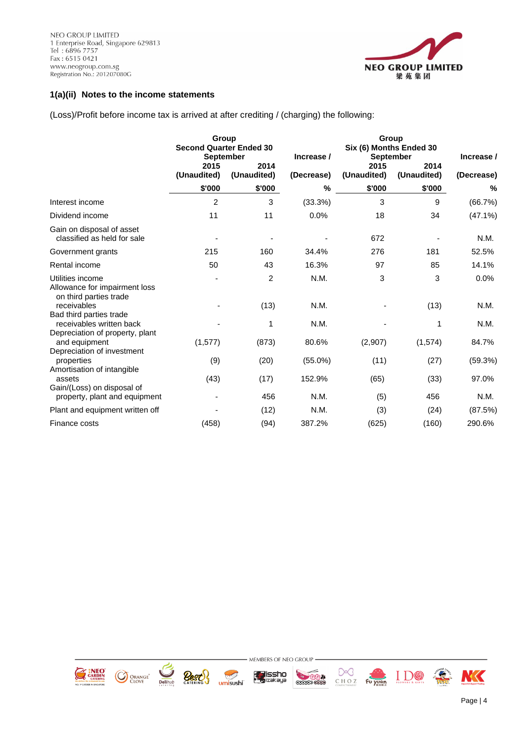

## **1(a)(ii) Notes to the income statements**

(Loss)/Profit before income tax is arrived at after crediting / (charging) the following:

|                                                                                        |                     | Group<br><b>Second Quarter Ended 30</b><br><b>September</b> | Increase / |                     | Group<br>Six (6) Months Ended 30<br>September | Increase / |  |  |
|----------------------------------------------------------------------------------------|---------------------|-------------------------------------------------------------|------------|---------------------|-----------------------------------------------|------------|--|--|
|                                                                                        | 2015<br>(Unaudited) | 2014<br>(Unaudited)                                         | (Decrease) | 2015<br>(Unaudited) | 2014<br>(Unaudited)                           | (Decrease) |  |  |
|                                                                                        | \$'000              | \$'000                                                      | $\%$       | \$'000              | \$'000                                        | %          |  |  |
| Interest income                                                                        | 2                   | 3                                                           | (33.3%)    | 3                   | 9                                             | (66.7%)    |  |  |
| Dividend income                                                                        | 11                  | 11                                                          | 0.0%       | 18                  | 34                                            | $(47.1\%)$ |  |  |
| Gain on disposal of asset<br>classified as held for sale                               |                     |                                                             |            | 672                 |                                               | N.M.       |  |  |
| Government grants                                                                      | 215                 | 160                                                         | 34.4%      | 276                 | 181                                           | 52.5%      |  |  |
| Rental income                                                                          | 50                  | 43                                                          | 16.3%      | 97                  | 85                                            | 14.1%      |  |  |
| Utilities income<br>Allowance for impairment loss<br>on third parties trade            |                     | 2                                                           | N.M.       | 3                   | 3                                             | 0.0%       |  |  |
| receivables                                                                            |                     | (13)                                                        | N.M.       |                     | (13)                                          | N.M.       |  |  |
| Bad third parties trade<br>receivables written back<br>Depreciation of property, plant |                     | 1                                                           | N.M.       |                     | 1                                             | N.M.       |  |  |
| and equipment                                                                          | (1, 577)            | (873)                                                       | 80.6%      | (2,907)             | (1, 574)                                      | 84.7%      |  |  |
| Depreciation of investment<br>properties<br>Amortisation of intangible                 | (9)                 | (20)                                                        | $(55.0\%)$ | (11)                | (27)                                          | (59.3%)    |  |  |
| assets<br>Gain/(Loss) on disposal of                                                   | (43)                | (17)                                                        | 152.9%     | (65)                | (33)                                          | 97.0%      |  |  |
| property, plant and equipment                                                          |                     | 456                                                         | N.M.       | (5)                 | 456                                           | N.M.       |  |  |
| Plant and equipment written off                                                        |                     | (12)                                                        | N.M.       | (3)                 | (24)                                          | (87.5%)    |  |  |
| Finance costs                                                                          | (458)               | (94)                                                        | 387.2%     | (625)               | (160)                                         | 290.6%     |  |  |



umisushi

**ky issho**<br>Skizakaya

**RANDA** 

CHOZ Fu yuan

 $\prod_{t \text{low}} \prod_{s \text{ all}} \bigotimes$ 



 $\sum_{\substack{\text{Delihub}\end{subarray}}$ 

**Best!** 

Page | 4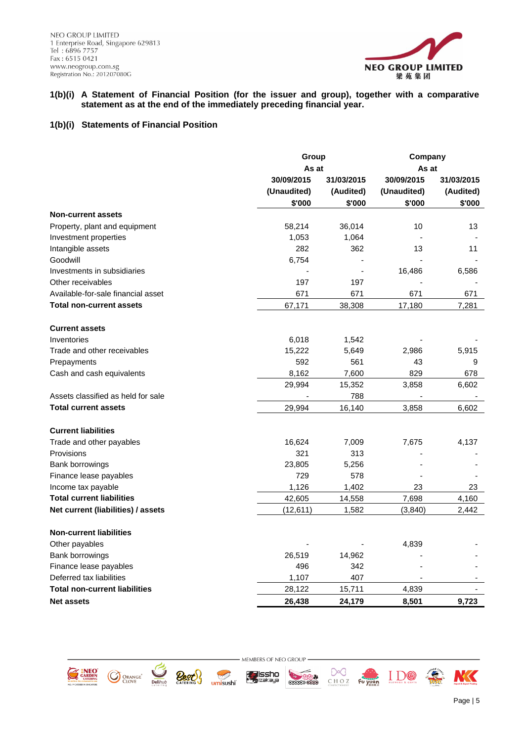

### **1(b)(i) A Statement of Financial Position (for the issuer and group), together with a comparative statement as at the end of the immediately preceding financial year.**

## **1(b)(i) Statements of Financial Position**

|                                      |             | Group<br>Company |             |            |  |
|--------------------------------------|-------------|------------------|-------------|------------|--|
|                                      | As at       |                  | As at       |            |  |
|                                      | 30/09/2015  | 31/03/2015       |             | 31/03/2015 |  |
|                                      | (Unaudited) | (Audited)        | (Unaudited) | (Audited)  |  |
|                                      | \$'000      | \$'000           | \$'000      | \$'000     |  |
| <b>Non-current assets</b>            |             |                  |             |            |  |
| Property, plant and equipment        | 58,214      | 36,014           | 10          | 13         |  |
| Investment properties                | 1,053       | 1,064            |             |            |  |
| Intangible assets                    | 282         | 362              | 13          | 11         |  |
| Goodwill                             | 6,754       |                  |             |            |  |
| Investments in subsidiaries          |             |                  | 16,486      | 6,586      |  |
| Other receivables                    | 197         | 197              |             |            |  |
| Available-for-sale financial asset   | 671         | 671              | 671         | 671        |  |
| <b>Total non-current assets</b>      | 67,171      | 38,308           | 17,180      | 7,281      |  |
| <b>Current assets</b>                |             |                  |             |            |  |
| Inventories                          | 6,018       | 1,542            |             |            |  |
| Trade and other receivables          | 15,222      | 5,649            | 2,986       | 5,915      |  |
| Prepayments                          | 592         | 561              | 43          | 9          |  |
| Cash and cash equivalents            | 8,162       | 7,600            | 829         | 678        |  |
|                                      | 29,994      | 15,352           | 3,858       | 6,602      |  |
| Assets classified as held for sale   |             | 788              |             |            |  |
| <b>Total current assets</b>          | 29,994      | 16,140           | 3,858       | 6,602      |  |
| <b>Current liabilities</b>           |             |                  |             |            |  |
| Trade and other payables             | 16,624      | 7,009            | 7,675       | 4,137      |  |
| Provisions                           | 321         | 313              |             |            |  |
| <b>Bank borrowings</b>               | 23,805      | 5,256            |             |            |  |
| Finance lease payables               | 729         | 578              |             |            |  |
| Income tax payable                   | 1,126       | 1,402            | 23          | 23         |  |
| <b>Total current liabilities</b>     | 42,605      | 14,558           | 7,698       | 4,160      |  |
| Net current (liabilities) / assets   | (12, 611)   | 1,582            | (3,840)     | 2,442      |  |
| <b>Non-current liabilities</b>       |             |                  |             |            |  |
| Other payables                       |             |                  | 4,839       |            |  |
| Bank borrowings                      | 26,519      | 14,962           |             |            |  |
| Finance lease payables               | 496         | 342              |             |            |  |
| Deferred tax liabilities             | 1,107       | 407              |             |            |  |
| <b>Total non-current liabilities</b> | 28,122      | 15,711           | 4,839       |            |  |
| <b>Net assets</b>                    | 26,438      | 24,179           | 8,501       | 9,723      |  |













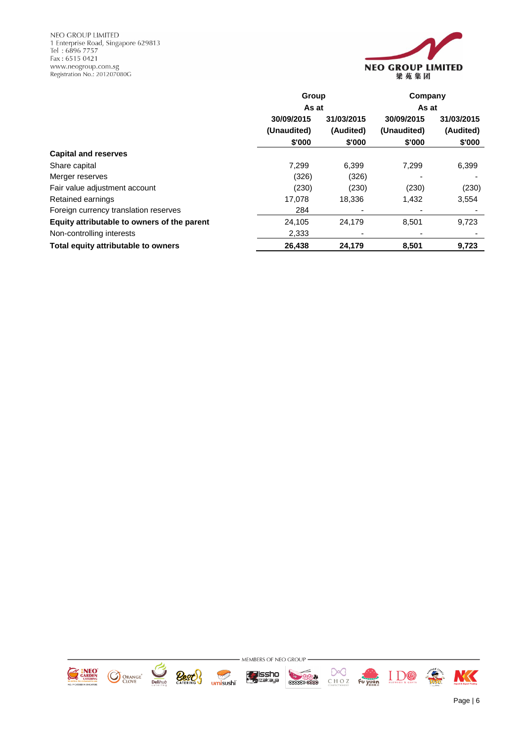NEO GROUP LIMITED NEO GROOP LIMITED<br>1 Enterprise Road, Singapore 629813<br>Tel : 6896 7757<br>Fax : 6515 0421<br>www.neogroup.com.sg<br>Registration No.: 201207080G



|                                             | Group       |            | Company     |            |  |
|---------------------------------------------|-------------|------------|-------------|------------|--|
|                                             | As at       |            | As at       |            |  |
|                                             | 30/09/2015  | 31/03/2015 | 30/09/2015  | 31/03/2015 |  |
|                                             | (Unaudited) | (Audited)  | (Unaudited) | (Audited)  |  |
|                                             | \$'000      | \$'000     | \$'000      | \$'000     |  |
| <b>Capital and reserves</b>                 |             |            |             |            |  |
| Share capital                               | 7.299       | 6,399      | 7.299       | 6,399      |  |
| Merger reserves                             | (326)       | (326)      |             |            |  |
| Fair value adjustment account               | (230)       | (230)      | (230)       | (230)      |  |
| Retained earnings                           | 17.078      | 18,336     | 1,432       | 3,554      |  |
| Foreign currency translation reserves       | 284         |            |             |            |  |
| Equity attributable to owners of the parent | 24,105      | 24.179     | 8,501       | 9,723      |  |
| Non-controlling interests                   | 2,333       |            |             |            |  |
| Total equity attributable to owners         | 26,438      | 24,179     | 8,501       | 9,723      |  |

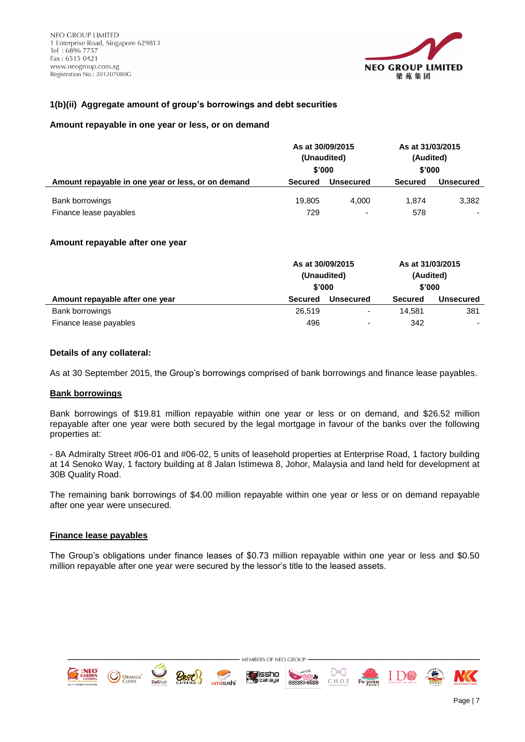

## **1(b)(ii) Aggregate amount of group's borrowings and debt securities**

### **Amount repayable in one year or less, or on demand**

|                                                    | As at 30/09/2015<br>(Unaudited)<br>\$'000 |                          | As at 31/03/2015<br>(Audited)<br>\$'000 |                  |
|----------------------------------------------------|-------------------------------------------|--------------------------|-----------------------------------------|------------------|
| Amount repayable in one year or less, or on demand | <b>Secured</b>                            | Unsecured                | <b>Secured</b>                          | <b>Unsecured</b> |
| Bank borrowings                                    | 19.805                                    | 4.000                    | 1.874                                   | 3,382            |
| Finance lease payables                             | 729                                       | $\overline{\phantom{a}}$ | 578                                     |                  |

### **Amount repayable after one year**

|                                 | As at 30/09/2015<br>(Unaudited)<br>\$'000 |                          |                | As at 31/03/2015<br>(Audited)<br>\$'000 |  |  |
|---------------------------------|-------------------------------------------|--------------------------|----------------|-----------------------------------------|--|--|
| Amount repayable after one year | <b>Secured</b>                            | <b>Unsecured</b>         | <b>Secured</b> | <b>Unsecured</b>                        |  |  |
| Bank borrowings                 | 26,519                                    | $\overline{\phantom{0}}$ | 14.581         | 381                                     |  |  |
| Finance lease payables          | 496                                       | ۰                        | 342            | $\overline{\phantom{0}}$                |  |  |

### **Details of any collateral:**

As at 30 September 2015, the Group's borrowings comprised of bank borrowings and finance lease payables.

#### **Bank borrowings**

Bank borrowings of \$19.81 million repayable within one year or less or on demand, and \$26.52 million repayable after one year were both secured by the legal mortgage in favour of the banks over the following properties at:

- 8A Admiralty Street #06-01 and #06-02, 5 units of leasehold properties at Enterprise Road, 1 factory building at 14 Senoko Way, 1 factory building at 8 Jalan Istimewa 8, Johor, Malaysia and land held for development at 30B Quality Road.

The remaining bank borrowings of \$4.00 million repayable within one year or less or on demand repayable after one year were unsecured.

#### **Finance lease payables**

The Group's obligations under finance leases of \$0.73 million repayable within one year or less and \$0.50 million repayable after one year were secured by the lessor's title to the leased assets.

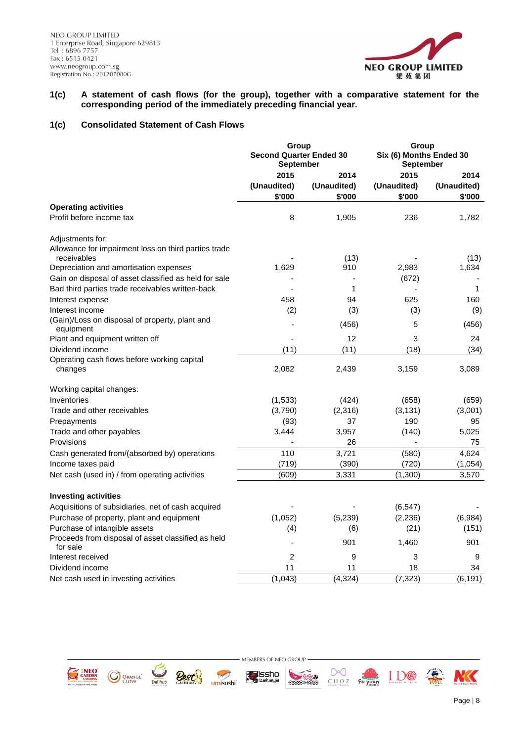

## **1(c) A statement of cash flows (for the group), together with a comparative statement for the corresponding period of the immediately preceding financial year.**

## **1(c) Consolidated Statement of Cash Flows**

|                                                                     | Group<br><b>Second Quarter Ended 30</b><br><b>September</b> |             | Group          | Six (6) Months Ended 30<br>September |  |
|---------------------------------------------------------------------|-------------------------------------------------------------|-------------|----------------|--------------------------------------|--|
|                                                                     | 2015                                                        | 2014        | 2015           | 2014                                 |  |
|                                                                     | (Unaudited)                                                 | (Unaudited) | (Unaudited)    | (Unaudited)                          |  |
|                                                                     | \$'000                                                      | \$'000      | \$'000         | \$'000                               |  |
| <b>Operating activities</b>                                         |                                                             |             |                |                                      |  |
| Profit before income tax                                            | 8                                                           | 1,905       | 236            | 1,782                                |  |
| Adjustments for:                                                    |                                                             |             |                |                                      |  |
| Allowance for impairment loss on third parties trade<br>receivables |                                                             | (13)        |                | (13)                                 |  |
| Depreciation and amortisation expenses                              | 1,629                                                       | 910         | 2,983          | 1,634                                |  |
| Gain on disposal of asset classified as held for sale               |                                                             |             | (672)          |                                      |  |
| Bad third parties trade receivables written-back                    |                                                             | 1           |                | $\mathbf{1}$                         |  |
| Interest expense                                                    | 458                                                         | 94          | 625            | 160                                  |  |
| Interest income                                                     | (2)                                                         | (3)         | (3)            | (9)                                  |  |
| (Gain)/Loss on disposal of property, plant and<br>equipment         |                                                             | (456)       | 5              | (456)                                |  |
| Plant and equipment written off                                     |                                                             | 12          | 3              | 24                                   |  |
| Dividend income                                                     | (11)                                                        | (11)        | (18)           | (34)                                 |  |
| Operating cash flows before working capital<br>changes              | 2,082                                                       | 2,439       | 3,159          | 3,089                                |  |
| Working capital changes:                                            |                                                             |             |                |                                      |  |
| Inventories                                                         | (1, 533)                                                    | (424)       | (658)          | (659)                                |  |
| Trade and other receivables                                         | (3,790)                                                     | (2,316)     | (3, 131)       | (3,001)                              |  |
| Prepayments                                                         | (93)                                                        | 37          | 190            | 95                                   |  |
| Trade and other payables                                            | 3,444                                                       | 3,957       | (140)          | 5,025                                |  |
| Provisions                                                          |                                                             | 26          | $\blacksquare$ | 75                                   |  |
| Cash generated from/(absorbed by) operations                        | 110                                                         | 3,721       | (580)          | 4,624                                |  |
| Income taxes paid                                                   | (719)                                                       | (390)       | (720)          | (1,054)                              |  |
| Net cash (used in) / from operating activities                      | (609)                                                       | 3,331       | (1,300)        | 3,570                                |  |
| <b>Investing activities</b>                                         |                                                             |             |                |                                      |  |
| Acquisitions of subsidiaries, net of cash acquired                  |                                                             |             | (6, 547)       |                                      |  |
| Purchase of property, plant and equipment                           | (1,052)                                                     | (5,239)     | (2, 236)       | (6,984)                              |  |
| Purchase of intangible assets                                       | (4)                                                         | (6)         | (21)           | (151)                                |  |
| Proceeds from disposal of asset classified as held<br>for sale      |                                                             | 901         | 1,460          | 901                                  |  |
| Interest received                                                   | $\overline{2}$                                              | 9           | 3              | 9                                    |  |
| Dividend income                                                     | 11                                                          | 11          | 18             | 34                                   |  |
| Net cash used in investing activities                               | (1,043)                                                     | (4, 324)    | (7, 323)       | (6, 191)                             |  |



- MEMBERS OF NEO GROUP **fysissho**<br>Mizakaya

umisushi





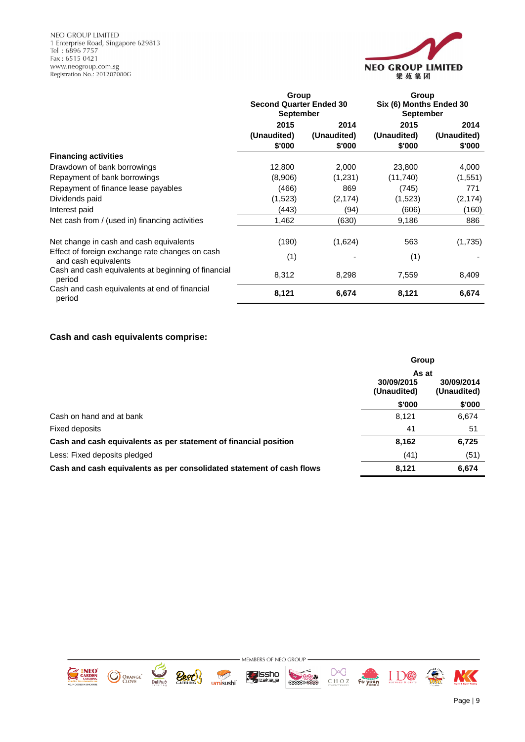NEO GROUP LIMITED 1 Enterprise Road, Singapore 629813<br>Tel: 6896 7757<br>Fax: 6515 0421 www.neogroup.com.sg<br>Registration No.: 201207080G



|                                                                         | Group                                              |             | Group                                       |             |  |
|-------------------------------------------------------------------------|----------------------------------------------------|-------------|---------------------------------------------|-------------|--|
|                                                                         | <b>Second Quarter Ended 30</b><br><b>September</b> |             | Six (6) Months Ended 30<br><b>September</b> |             |  |
|                                                                         | 2015                                               | 2014        | 2015                                        | 2014        |  |
|                                                                         | (Unaudited)                                        | (Unaudited) | (Unaudited)                                 | (Unaudited) |  |
|                                                                         | \$'000                                             | \$'000      | \$'000                                      | \$'000      |  |
| <b>Financing activities</b>                                             |                                                    |             |                                             |             |  |
| Drawdown of bank borrowings                                             | 12,800                                             | 2,000       | 23,800                                      | 4,000       |  |
| Repayment of bank borrowings                                            | (8,906)                                            | (1,231)     | (11,740)                                    | (1,551)     |  |
| Repayment of finance lease payables                                     | (466)                                              | 869         | (745)                                       | 771         |  |
| Dividends paid                                                          | (1,523)                                            | (2, 174)    | (1,523)                                     | (2, 174)    |  |
| Interest paid                                                           | (443)                                              | (94)        | (606)                                       | (160)       |  |
| Net cash from / (used in) financing activities                          | 1,462                                              | (630)       | 9,186                                       | 886         |  |
| Net change in cash and cash equivalents                                 | (190)                                              | (1,624)     | 563                                         | (1,735)     |  |
| Effect of foreign exchange rate changes on cash<br>and cash equivalents | (1)                                                |             | (1)                                         |             |  |
| Cash and cash equivalents at beginning of financial<br>period           | 8,312                                              | 8,298       | 7,559                                       | 8,409       |  |
| Cash and cash equivalents at end of financial<br>period                 | 8,121                                              | 6,674       | 8,121                                       | 6,674       |  |

# **Cash and cash equivalents comprise:**

|                                                                       | Group                     |                           |
|-----------------------------------------------------------------------|---------------------------|---------------------------|
|                                                                       | As at                     |                           |
|                                                                       | 30/09/2015<br>(Unaudited) | 30/09/2014<br>(Unaudited) |
|                                                                       | \$'000                    | \$'000                    |
| Cash on hand and at bank                                              | 8,121                     | 6,674                     |
| Fixed deposits                                                        | 41                        | 51                        |
| Cash and cash equivalents as per statement of financial position      | 8,162                     | 6,725                     |
| Less: Fixed deposits pledged                                          | (41)                      | (51)                      |
| Cash and cash equivalents as per consolidated statement of cash flows | 8,121                     | 6,674                     |















NK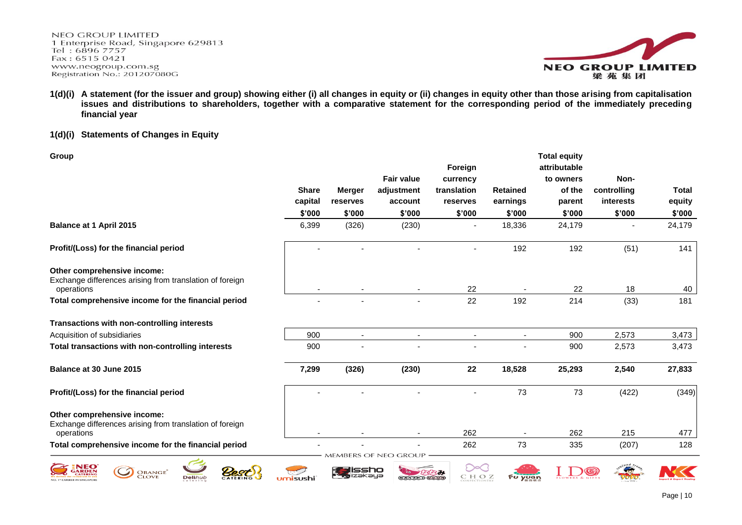**NEO GROUP LIMITED** 1 Enterprise Road, Singapore 629813 Tel: 6896 7757 Fax: 6515 0421 www.neogroup.com.sg Registration No.: 201207080G



**1(d)(i) A statement (for the issuer and group) showing either (i) all changes in equity or (ii) changes in equity other than those arising from capitalisation issues and distributions to shareholders, together with a comparative statement for the corresponding period of the immediately preceding financial year**

### **1(d)(i) Statements of Changes in Equity**

| Group                                                                                                 |              |               | <b>Fair value</b>        | Foreign<br>currency |                 | <b>Total equity</b><br>attributable<br>to owners | Non-        |              |
|-------------------------------------------------------------------------------------------------------|--------------|---------------|--------------------------|---------------------|-----------------|--------------------------------------------------|-------------|--------------|
|                                                                                                       | <b>Share</b> | <b>Merger</b> | adjustment               | translation         | <b>Retained</b> | of the                                           | controlling | <b>Total</b> |
|                                                                                                       | capital      | reserves      | account                  | reserves            | earnings        | parent                                           | interests   | equity       |
|                                                                                                       | \$'000       | \$'000        | \$'000                   | \$'000              | \$'000          | \$'000                                           | \$'000      | \$'000       |
| Balance at 1 April 2015                                                                               | 6,399        | (326)         | (230)                    |                     | 18,336          | 24,179                                           |             | 24,179       |
| Profit/(Loss) for the financial period                                                                |              |               |                          |                     | 192             | 192                                              | (51)        | 141          |
| Other comprehensive income:<br>Exchange differences arising from translation of foreign<br>operations |              |               |                          | 22                  |                 | 22                                               | 18          | 40           |
| Total comprehensive income for the financial period                                                   |              |               |                          | 22                  | 192             | 214                                              | (33)        | 181          |
| Transactions with non-controlling interests                                                           |              |               |                          |                     |                 |                                                  |             |              |
| Acquisition of subsidiaries                                                                           | 900          |               | $\overline{\phantom{a}}$ |                     |                 | 900                                              | 2,573       | 3,473        |
| Total transactions with non-controlling interests                                                     | 900          |               |                          |                     |                 | 900                                              | 2,573       | 3,473        |
| Balance at 30 June 2015                                                                               | 7,299        | (326)         | (230)                    | 22                  | 18,528          | 25,293                                           | 2,540       | 27,833       |
| Profit/(Loss) for the financial period                                                                |              |               |                          |                     | 73              | 73                                               | (422)       | (349)        |
| Other comprehensive income:<br>Exchange differences arising from translation of foreign               |              |               |                          |                     |                 |                                                  |             |              |
| operations                                                                                            |              |               |                          | 262                 |                 | 262                                              | 215         | 477          |
| Total comprehensive income for the financial period                                                   |              |               | MEMBERS OF NEO GROU      | 262                 | 73              | 335                                              | (207)       | 128          |
| <b>ORANGE</b><br><b>CLOVE</b><br><b>Delihub</b>                                                       | nisushi      |               |                          | CHOZ                | Fu <u>yuan</u>  |                                                  |             |              |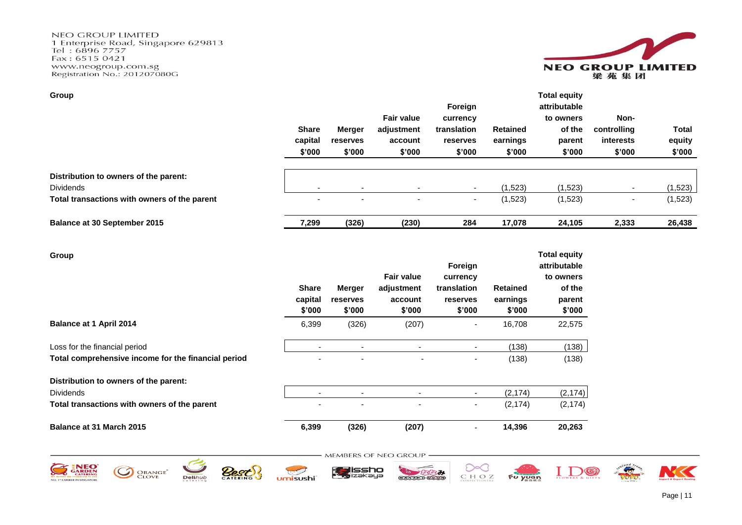**NEO GROUP LIMITED** The University Road, Singapore 629813<br>Tel: 6896 7757 Fax: 6515 0421 www.neogroup.com.sg<br>Registration No.: 201207080G



| Group                                        |                                   |                                     |                                                      |                                                          |                                       | <b>Total equity</b>                                     |                                            |                                  |
|----------------------------------------------|-----------------------------------|-------------------------------------|------------------------------------------------------|----------------------------------------------------------|---------------------------------------|---------------------------------------------------------|--------------------------------------------|----------------------------------|
|                                              | <b>Share</b><br>capital<br>\$'000 | <b>Merger</b><br>reserves<br>\$'000 | <b>Fair value</b><br>adjustment<br>account<br>\$'000 | Foreign<br>currency<br>translation<br>reserves<br>\$'000 | <b>Retained</b><br>earnings<br>\$'000 | attributable<br>to owners<br>of the<br>parent<br>\$'000 | Non-<br>controlling<br>interests<br>\$'000 | <b>Total</b><br>equity<br>\$'000 |
| Distribution to owners of the parent:        |                                   |                                     |                                                      |                                                          |                                       |                                                         |                                            |                                  |
| <b>Dividends</b>                             | $\overline{\phantom{0}}$          | $\overline{\phantom{a}}$            |                                                      |                                                          | (1,523)                               | (1,523)                                                 |                                            | (1,523)                          |
| Total transactions with owners of the parent | $\overline{\phantom{0}}$          | ۰                                   | $\overline{\phantom{a}}$                             | $\overline{\phantom{a}}$                                 | (1,523)                               | (1,523)                                                 | $\overline{\phantom{a}}$                   | (1,523)                          |
| <b>Balance at 30 September 2015</b>          | 7,299                             | (326)                               | (230)                                                | 284                                                      | 17.078                                | 24.105                                                  | 2,333                                      | 26,438                           |

| Group                                               | <b>Share</b><br>capital<br>\$'000 | Merger<br>reserves<br>\$'000 | <b>Fair value</b><br>adjustment<br>account<br>\$'000 | Foreign<br>currency<br>translation<br><b>reserves</b><br>\$'000 | <b>Retained</b><br>earnings<br>\$'000 | <b>Total equity</b><br>attributable<br>to owners<br>of the<br>parent<br>\$'000 |
|-----------------------------------------------------|-----------------------------------|------------------------------|------------------------------------------------------|-----------------------------------------------------------------|---------------------------------------|--------------------------------------------------------------------------------|
| <b>Balance at 1 April 2014</b>                      | 6,399                             | (326)                        | (207)                                                |                                                                 | 16,708                                | 22,575                                                                         |
| Loss for the financial period                       | -                                 |                              | ٠                                                    | ٠                                                               | (138)                                 | (138)                                                                          |
| Total comprehensive income for the financial period |                                   |                              | $\overline{\phantom{a}}$                             | ۰                                                               | (138)                                 | (138)                                                                          |
| Distribution to owners of the parent:               |                                   |                              |                                                      |                                                                 |                                       |                                                                                |
| <b>Dividends</b>                                    | $\overline{\phantom{0}}$          |                              | -                                                    | ٠                                                               | (2, 174)                              | (2, 174)                                                                       |
| Total transactions with owners of the parent        | ٠                                 |                              | ٠                                                    | ۰                                                               | (2, 174)                              | (2, 174)                                                                       |
| Balance at 31 March 2015                            | 6,399                             | (326)                        | (207)                                                | ۰                                                               | 14,396                                | 20,263                                                                         |

- MEMBERS OF NEO GROUP -



















 $\sqrt{2}$ 

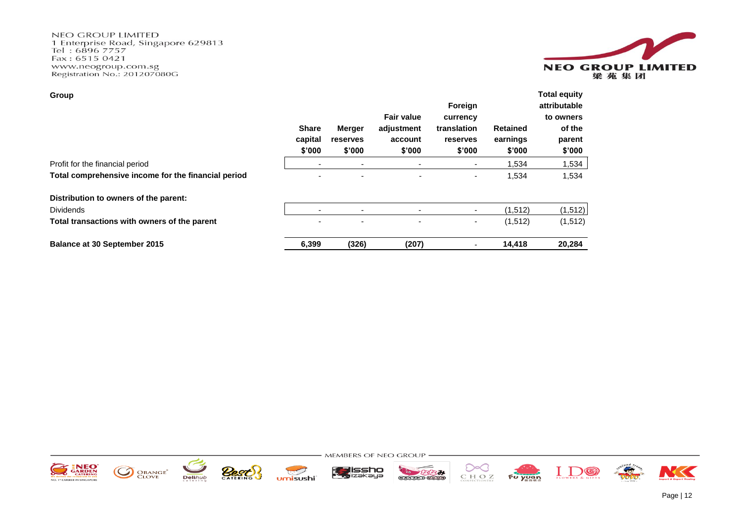**NEO GROUP LIMITED** The University Road, Singapore 629813<br>Tel: 6896 7757 Fax: 6515 0421 www.neogroup.com.sg<br>Registration No.: 201207080G



| Group                                               |                          |                          |                          |                          |                 | <b>Total equity</b> |
|-----------------------------------------------------|--------------------------|--------------------------|--------------------------|--------------------------|-----------------|---------------------|
|                                                     |                          |                          |                          | Foreign                  |                 | attributable        |
|                                                     |                          |                          | <b>Fair value</b>        | currency                 |                 | to owners           |
|                                                     | <b>Share</b>             | Merger                   | adjustment               | translation              | <b>Retained</b> | of the              |
|                                                     | capital                  | <b>reserves</b>          | account                  | reserves                 | earnings        | parent              |
|                                                     | \$'000                   | \$'000                   | \$'000                   | \$'000                   | \$'000          | \$'000              |
| Profit for the financial period                     |                          |                          |                          | $\overline{\phantom{a}}$ | 1,534           | 1,534               |
| Total comprehensive income for the financial period | $\overline{\phantom{a}}$ | $\overline{\phantom{a}}$ | ٠                        | $\overline{\phantom{a}}$ | 1,534           | 1,534               |
| Distribution to owners of the parent:               |                          |                          |                          |                          |                 |                     |
| <b>Dividends</b>                                    |                          | $\overline{\phantom{a}}$ | $\overline{\phantom{0}}$ | ۰.                       | (1, 512)        | (1, 512)            |
| Total transactions with owners of the parent        | $\overline{\phantom{a}}$ | $\overline{\phantom{a}}$ | $\overline{\phantom{a}}$ | $\blacksquare$           | (1,512)         | (1,512)             |
| <b>Balance at 30 September 2015</b>                 | 6,399                    | (326)                    | (207)                    |                          | 14,418          | 20,284              |

- MEMBERS OF NEO GROUP -



















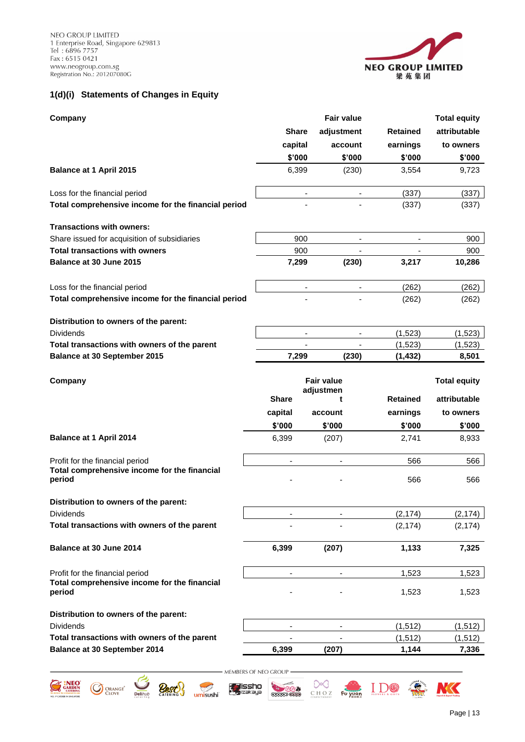NEO GROUP LIMITED 1 Enterprise Road, Singapore 629813<br>Tel: 6896 7757<br>Fax: 6515 0421 www.neogroup.com.sg<br>Registration No.: 201207080G



# **1(d)(i) Statements of Changes in Equity**

| Company                                                                               |                              | <b>Fair value</b>              |                          |                          | <b>Total equity</b> |
|---------------------------------------------------------------------------------------|------------------------------|--------------------------------|--------------------------|--------------------------|---------------------|
|                                                                                       | <b>Share</b>                 | adjustment                     |                          | <b>Retained</b>          | attributable        |
|                                                                                       | capital                      |                                | account                  | earnings                 | to owners           |
|                                                                                       | \$'000                       |                                | \$'000                   | \$'000                   | \$'000              |
| Balance at 1 April 2015                                                               | 6,399                        |                                | (230)                    | 3,554                    | 9,723               |
| Loss for the financial period                                                         |                              |                                |                          | (337)                    | (337)               |
| Total comprehensive income for the financial period                                   |                              |                                |                          | (337)                    | (337)               |
| <b>Transactions with owners:</b>                                                      |                              |                                |                          |                          |                     |
| Share issued for acquisition of subsidiaries                                          | 900                          |                                | $\overline{\phantom{a}}$ |                          | 900                 |
| <b>Total transactions with owners</b>                                                 | 900                          |                                | $\overline{\phantom{a}}$ | $\overline{\phantom{a}}$ | 900                 |
| Balance at 30 June 2015                                                               | 7,299                        |                                | (230)                    | 3,217                    | 10,286              |
| Loss for the financial period                                                         | $\overline{\phantom{a}}$     |                                | $\blacksquare$           | (262)                    | (262)               |
| Total comprehensive income for the financial period                                   |                              |                                |                          | (262)                    | (262)               |
| Distribution to owners of the parent:                                                 |                              |                                |                          |                          |                     |
| Dividends                                                                             |                              |                                |                          | (1, 523)                 | (1,523)             |
| Total transactions with owners of the parent<br><b>Balance at 30 September 2015</b>   |                              |                                |                          | (1,523)                  | (1,523)             |
|                                                                                       | 7,299                        |                                | (230)                    | (1, 432)                 | 8,501               |
| Company                                                                               |                              | <b>Fair value</b><br>adjustmen |                          |                          | <b>Total equity</b> |
|                                                                                       | <b>Share</b>                 | t                              |                          | <b>Retained</b>          | attributable        |
|                                                                                       | capital                      | account                        |                          | earnings                 | to owners           |
|                                                                                       | \$'000                       | \$'000                         |                          | \$'000                   | \$'000              |
| <b>Balance at 1 April 2014</b>                                                        | 6,399                        | (207)                          |                          | 2,741                    | 8,933               |
| Profit for the financial period                                                       | $\qquad \qquad \blacksquare$ | $\overline{\phantom{a}}$       |                          | 566                      | 566                 |
| Total comprehensive income for the financial<br>period                                |                              |                                |                          | 566                      | 566                 |
| Distribution to owners of the parent:                                                 |                              |                                |                          |                          |                     |
| Dividends                                                                             | $\qquad \qquad \blacksquare$ |                                |                          | (2, 174)                 | (2, 174)            |
| Total transactions with owners of the parent                                          |                              |                                |                          | (2, 174)                 | (2, 174)            |
| Balance at 30 June 2014                                                               | 6,399                        | (207)                          |                          | 1,133                    | 7,325               |
| Profit for the financial period                                                       | $\overline{\phantom{a}}$     |                                |                          | 1,523                    | 1,523               |
| Total comprehensive income for the financial<br>period                                |                              |                                |                          | 1,523                    | 1,523               |
| Distribution to owners of the parent:                                                 |                              |                                |                          |                          |                     |
| <b>Dividends</b>                                                                      | $\overline{\phantom{a}}$     |                                |                          | (1, 512)                 | (1, 512)            |
| Total transactions with owners of the parent                                          |                              |                                |                          | (1, 512)                 | (1, 512)            |
| Balance at 30 September 2014                                                          | 6,399                        | (207)                          |                          | 1,144                    | 7,336               |
|                                                                                       | MEMBERS OF NEO GROUP         |                                |                          |                          |                     |
| IΕO<br>issho<br>ORANGE <sup>®</sup><br>Clove<br>zəkəya<br><b>Deli</b> hut<br>umisushi |                              | CHOZ                           | Fu yuan                  |                          |                     |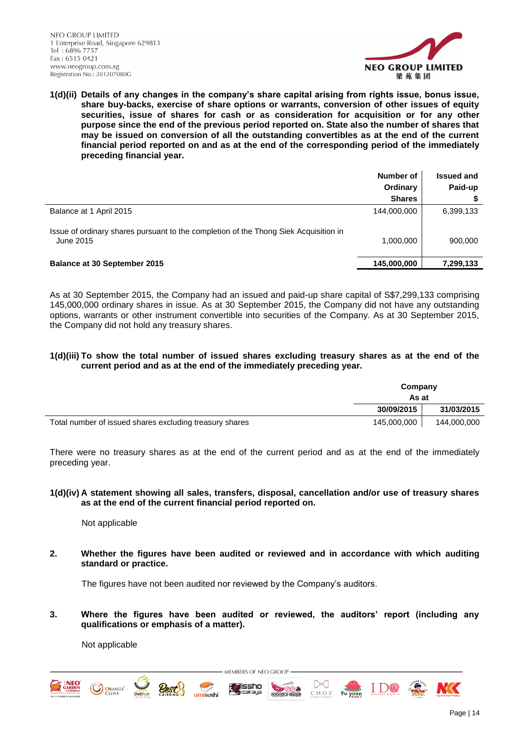

**1(d)(ii) Details of any changes in the company's share capital arising from rights issue, bonus issue, share buy-backs, exercise of share options or warrants, conversion of other issues of equity securities, issue of shares for cash or as consideration for acquisition or for any other purpose since the end of the previous period reported on. State also the number of shares that may be issued on conversion of all the outstanding convertibles as at the end of the current financial period reported on and as at the end of the corresponding period of the immediately preceding financial year.**

|                                                                                                   | Number of<br>Ordinary<br><b>Shares</b> | <b>Issued and</b><br>Paid-up |
|---------------------------------------------------------------------------------------------------|----------------------------------------|------------------------------|
| Balance at 1 April 2015                                                                           | 144,000,000                            | 6,399,133                    |
| Issue of ordinary shares pursuant to the completion of the Thong Siek Acquisition in<br>June 2015 | 1,000,000                              | 900,000                      |
| <b>Balance at 30 September 2015</b>                                                               | 145,000,000                            | 7,299,133                    |

As at 30 September 2015, the Company had an issued and paid-up share capital of S\$7,299,133 comprising 145,000,000 ordinary shares in issue. As at 30 September 2015, the Company did not have any outstanding options, warrants or other instrument convertible into securities of the Company. As at 30 September 2015, the Company did not hold any treasury shares.

## **1(d)(iii) To show the total number of issued shares excluding treasury shares as at the end of the current period and as at the end of the immediately preceding year.**

|                                                         | Company<br>As at |             |  |
|---------------------------------------------------------|------------------|-------------|--|
|                                                         | 30/09/2015       | 31/03/2015  |  |
| Total number of issued shares excluding treasury shares | 145.000.000      | 144,000,000 |  |

There were no treasury shares as at the end of the current period and as at the end of the immediately preceding year.

**1(d)(iv) A statement showing all sales, transfers, disposal, cancellation and/or use of treasury shares as at the end of the current financial period reported on.**

Not applicable

**2. Whether the figures have been audited or reviewed and in accordance with which auditing standard or practice.**

The figures have not been audited nor reviewed by the Company's auditors.

**3. Where the figures have been audited or reviewed, the auditors' report (including any qualifications or emphasis of a matter).**

> MEMBERS OF NEO GROUP lissh∩

**TESTS** 

**GENERAL COO** 

CHOZ

Not applicable

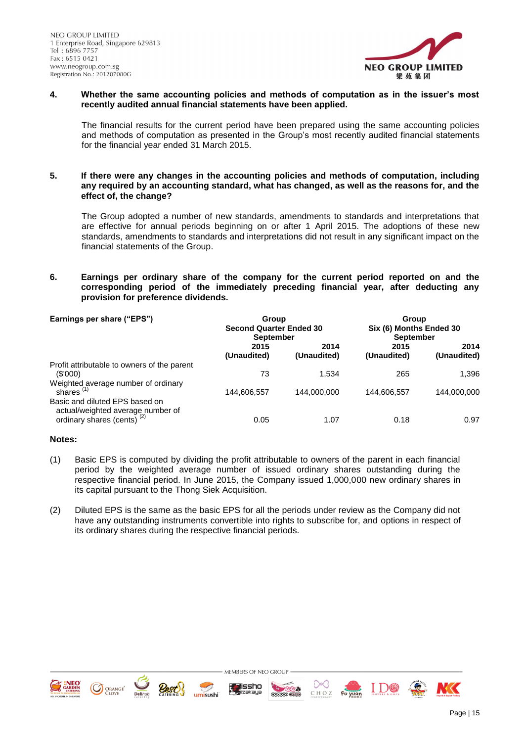

### **4. Whether the same accounting policies and methods of computation as in the issuer's most recently audited annual financial statements have been applied.**

The financial results for the current period have been prepared using the same accounting policies and methods of computation as presented in the Group's most recently audited financial statements for the financial year ended 31 March 2015.

### **5. If there were any changes in the accounting policies and methods of computation, including any required by an accounting standard, what has changed, as well as the reasons for, and the effect of, the change?**

The Group adopted a number of new standards, amendments to standards and interpretations that are effective for annual periods beginning on or after 1 April 2015. The adoptions of these new standards, amendments to standards and interpretations did not result in any significant impact on the financial statements of the Group.

## **6. Earnings per ordinary share of the company for the current period reported on and the corresponding period of the immediately preceding financial year, after deducting any provision for preference dividends.**

| Earnings per share ("EPS")<br>Group<br><b>Second Quarter Ended 30</b><br><b>September</b>                     |                     |                     | Group<br>Six (6) Months Ended 30<br><b>September</b> |                     |  |
|---------------------------------------------------------------------------------------------------------------|---------------------|---------------------|------------------------------------------------------|---------------------|--|
|                                                                                                               | 2015<br>(Unaudited) | 2014<br>(Unaudited) | 2015<br>(Unaudited)                                  | 2014<br>(Unaudited) |  |
| Profit attributable to owners of the parent<br>(S'000)                                                        | 73                  | 1.534               | 265                                                  | 1.396               |  |
| Weighted average number of ordinary<br>shares $(1)$                                                           | 144,606,557         | 144,000,000         | 144,606,557                                          | 144,000,000         |  |
| Basic and diluted EPS based on<br>actual/weighted average number of<br>ordinary shares (cents) <sup>(2)</sup> | 0.05                | 1.07                | 0.18                                                 | 0.97                |  |

### **Notes:**

- (1) Basic EPS is computed by dividing the profit attributable to owners of the parent in each financial period by the weighted average number of issued ordinary shares outstanding during the respective financial period. In June 2015, the Company issued 1,000,000 new ordinary shares in its capital pursuant to the Thong Siek Acquisition.
- (2) Diluted EPS is the same as the basic EPS for all the periods under review as the Company did not have any outstanding instruments convertible into rights to subscribe for, and options in respect of its ordinary shares during the respective financial periods.



O ORANGE<sup>®</sup>

umisushi





Page | 15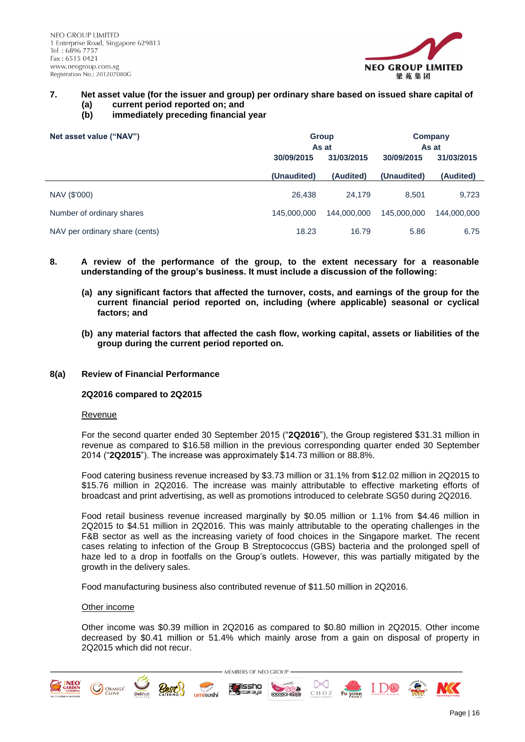

- **7. Net asset value (for the issuer and group) per ordinary share based on issued share capital of (a) current period reported on; and**
	- **(b) immediately preceding financial year**

| Net asset value ("NAV")        | <b>Group</b><br>As at    |             | Company<br>As at |             |
|--------------------------------|--------------------------|-------------|------------------|-------------|
|                                | 31/03/2015<br>30/09/2015 |             | 30/09/2015       | 31/03/2015  |
|                                | (Unaudited)              | (Audited)   | (Unaudited)      | (Audited)   |
| NAV (\$'000)                   | 26.438                   | 24.179      | 8.501            | 9,723       |
| Number of ordinary shares      | 145,000,000              | 144,000,000 | 145,000,000      | 144.000.000 |
| NAV per ordinary share (cents) | 18.23                    | 16.79       | 5.86             | 6.75        |

- **8. A review of the performance of the group, to the extent necessary for a reasonable understanding of the group's business. It must include a discussion of the following:**
	- **(a) any significant factors that affected the turnover, costs, and earnings of the group for the current financial period reported on, including (where applicable) seasonal or cyclical factors; and**
	- **(b) any material factors that affected the cash flow, working capital, assets or liabilities of the group during the current period reported on.**

#### **8(a) Review of Financial Performance**

#### **2Q2016 compared to 2Q2015**

#### Revenue

For the second quarter ended 30 September 2015 ("**2Q2016**"), the Group registered \$31.31 million in revenue as compared to \$16.58 million in the previous corresponding quarter ended 30 September 2014 ("**2Q2015**"). The increase was approximately \$14.73 million or 88.8%.

Food catering business revenue increased by \$3.73 million or 31.1% from \$12.02 million in 2Q2015 to \$15.76 million in 2Q2016. The increase was mainly attributable to effective marketing efforts of broadcast and print advertising, as well as promotions introduced to celebrate SG50 during 2Q2016.

Food retail business revenue increased marginally by \$0.05 million or 1.1% from \$4.46 million in 2Q2015 to \$4.51 million in 2Q2016. This was mainly attributable to the operating challenges in the F&B sector as well as the increasing variety of food choices in the Singapore market. The recent cases relating to infection of the Group B Streptococcus (GBS) bacteria and the prolonged spell of haze led to a drop in footfalls on the Group's outlets. However, this was partially mitigated by the growth in the delivery sales.

Food manufacturing business also contributed revenue of \$11.50 million in 2Q2016.

#### Other income

Other income was \$0.39 million in 2Q2016 as compared to \$0.80 million in 2Q2015. Other income decreased by \$0.41 million or 51.4% which mainly arose from a gain on disposal of property in 2Q2015 which did not recur.

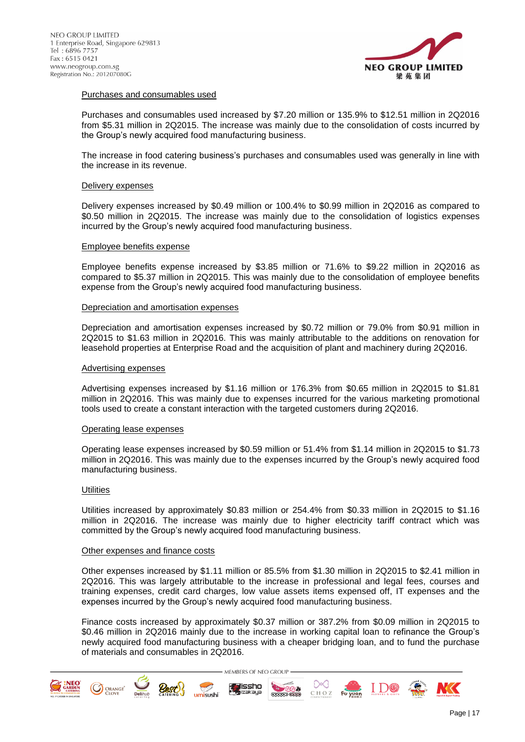

### Purchases and consumables used

Purchases and consumables used increased by \$7.20 million or 135.9% to \$12.51 million in 2Q2016 from \$5.31 million in 2Q2015. The increase was mainly due to the consolidation of costs incurred by the Group's newly acquired food manufacturing business.

The increase in food catering business's purchases and consumables used was generally in line with the increase in its revenue.

### Delivery expenses

Delivery expenses increased by \$0.49 million or 100.4% to \$0.99 million in 2Q2016 as compared to \$0.50 million in 2Q2015. The increase was mainly due to the consolidation of logistics expenses incurred by the Group's newly acquired food manufacturing business.

### Employee benefits expense

Employee benefits expense increased by \$3.85 million or 71.6% to \$9.22 million in 2Q2016 as compared to \$5.37 million in 2Q2015. This was mainly due to the consolidation of employee benefits expense from the Group's newly acquired food manufacturing business.

### Depreciation and amortisation expenses

Depreciation and amortisation expenses increased by \$0.72 million or 79.0% from \$0.91 million in 2Q2015 to \$1.63 million in 2Q2016. This was mainly attributable to the additions on renovation for leasehold properties at Enterprise Road and the acquisition of plant and machinery during 2Q2016.

#### Advertising expenses

Advertising expenses increased by \$1.16 million or 176.3% from \$0.65 million in 2Q2015 to \$1.81 million in 2Q2016. This was mainly due to expenses incurred for the various marketing promotional tools used to create a constant interaction with the targeted customers during 2Q2016.

#### Operating lease expenses

Operating lease expenses increased by \$0.59 million or 51.4% from \$1.14 million in 2Q2015 to \$1.73 million in 2Q2016. This was mainly due to the expenses incurred by the Group's newly acquired food manufacturing business.

#### **Utilities**

Utilities increased by approximately \$0.83 million or 254.4% from \$0.33 million in 2Q2015 to \$1.16 million in 2Q2016. The increase was mainly due to higher electricity tariff contract which was committed by the Group's newly acquired food manufacturing business.

#### Other expenses and finance costs

Other expenses increased by \$1.11 million or 85.5% from \$1.30 million in 2Q2015 to \$2.41 million in 2Q2016. This was largely attributable to the increase in professional and legal fees, courses and training expenses, credit card charges, low value assets items expensed off, IT expenses and the expenses incurred by the Group's newly acquired food manufacturing business.

Finance costs increased by approximately \$0.37 million or 387.2% from \$0.09 million in 2Q2015 to \$0.46 million in 2Q2016 mainly due to the increase in working capital loan to refinance the Group's newly acquired food manufacturing business with a cheaper bridging loan, and to fund the purchase of materials and consumables in 2Q2016.

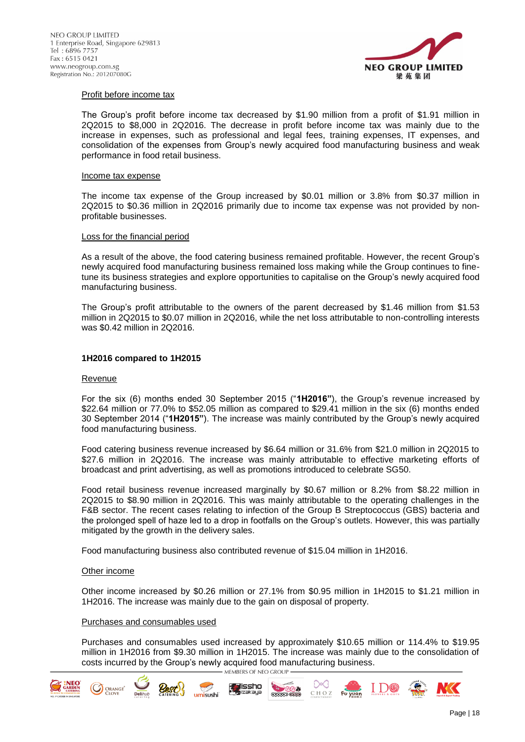

### Profit before income tax

The Group's profit before income tax decreased by \$1.90 million from a profit of \$1.91 million in 2Q2015 to \$8,000 in 2Q2016. The decrease in profit before income tax was mainly due to the increase in expenses, such as professional and legal fees, training expenses, IT expenses, and consolidation of the expenses from Group's newly acquired food manufacturing business and weak performance in food retail business.

#### Income tax expense

The income tax expense of the Group increased by \$0.01 million or 3.8% from \$0.37 million in 2Q2015 to \$0.36 million in 2Q2016 primarily due to income tax expense was not provided by nonprofitable businesses.

#### Loss for the financial period

As a result of the above, the food catering business remained profitable. However, the recent Group's newly acquired food manufacturing business remained loss making while the Group continues to finetune its business strategies and explore opportunities to capitalise on the Group's newly acquired food manufacturing business.

The Group's profit attributable to the owners of the parent decreased by \$1.46 million from \$1.53 million in 2Q2015 to \$0.07 million in 2Q2016, while the net loss attributable to non-controlling interests was \$0.42 million in 2Q2016.

### **1H2016 compared to 1H2015**

#### Revenue

For the six (6) months ended 30 September 2015 ("**1H2016"**), the Group's revenue increased by \$22.64 million or 77.0% to \$52.05 million as compared to \$29.41 million in the six (6) months ended 30 September 2014 ("**1H2015"**). The increase was mainly contributed by the Group's newly acquired food manufacturing business.

Food catering business revenue increased by \$6.64 million or 31.6% from \$21.0 million in 2Q2015 to \$27.6 million in 2Q2016. The increase was mainly attributable to effective marketing efforts of broadcast and print advertising, as well as promotions introduced to celebrate SG50.

Food retail business revenue increased marginally by \$0.67 million or 8.2% from \$8.22 million in 2Q2015 to \$8.90 million in 2Q2016. This was mainly attributable to the operating challenges in the F&B sector. The recent cases relating to infection of the Group B Streptococcus (GBS) bacteria and the prolonged spell of haze led to a drop in footfalls on the Group's outlets. However, this was partially mitigated by the growth in the delivery sales.

Food manufacturing business also contributed revenue of \$15.04 million in 1H2016.

#### Other income

**CO** ORANGE<sup>\*</sup>

Other income increased by \$0.26 million or 27.1% from \$0.95 million in 1H2015 to \$1.21 million in 1H2016. The increase was mainly due to the gain on disposal of property.

#### Purchases and consumables used

Purchases and consumables used increased by approximately \$10.65 million or 114.4% to \$19.95 million in 1H2016 from \$9.30 million in 1H2015. The increase was mainly due to the consolidation of costs incurred by the Group's newly acquired food manufacturing business.

**TESTS** 

**GERER COOP** 

CHOZ



iissho

umisushi

I D®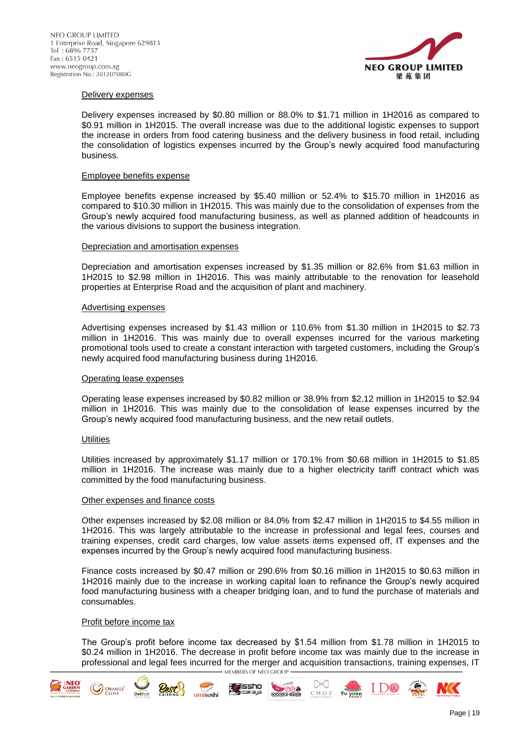

### Delivery expenses

Delivery expenses increased by \$0.80 million or 88.0% to \$1.71 million in 1H2016 as compared to \$0.91 million in 1H2015. The overall increase was due to the additional logistic expenses to support the increase in orders from food catering business and the delivery business in food retail, including the consolidation of logistics expenses incurred by the Group's newly acquired food manufacturing business.

#### Employee benefits expense

Employee benefits expense increased by \$5.40 million or 52.4% to \$15.70 million in 1H2016 as compared to \$10.30 million in 1H2015. This was mainly due to the consolidation of expenses from the Group's newly acquired food manufacturing business, as well as planned addition of headcounts in the various divisions to support the business integration.

### Depreciation and amortisation expenses

Depreciation and amortisation expenses increased by \$1.35 million or 82.6% from \$1.63 million in 1H2015 to \$2.98 million in 1H2016. This was mainly attributable to the renovation for leasehold properties at Enterprise Road and the acquisition of plant and machinery.

### Advertising expenses

Advertising expenses increased by \$1.43 million or 110.6% from \$1.30 million in 1H2015 to \$2.73 million in 1H2016. This was mainly due to overall expenses incurred for the various marketing promotional tools used to create a constant interaction with targeted customers, including the Group's newly acquired food manufacturing business during 1H2016.

#### Operating lease expenses

Operating lease expenses increased by \$0.82 million or 38.9% from \$2.12 million in 1H2015 to \$2.94 million in 1H2016. This was mainly due to the consolidation of lease expenses incurred by the Group's newly acquired food manufacturing business, and the new retail outlets.

### **Utilities**

Utilities increased by approximately \$1.17 million or 170.1% from \$0.68 million in 1H2015 to \$1.85 million in 1H2016. The increase was mainly due to a higher electricity tariff contract which was committed by the food manufacturing business.

#### Other expenses and finance costs

Other expenses increased by \$2.08 million or 84.0% from \$2.47 million in 1H2015 to \$4.55 million in 1H2016. This was largely attributable to the increase in professional and legal fees, courses and training expenses, credit card charges, low value assets items expensed off, IT expenses and the expenses incurred by the Group's newly acquired food manufacturing business.

Finance costs increased by \$0.47 million or 290.6% from \$0.16 million in 1H2015 to \$0.63 million in 1H2016 mainly due to the increase in working capital loan to refinance the Group's newly acquired food manufacturing business with a cheaper bridging loan, and to fund the purchase of materials and consumables.

### Profit before income tax

**CO** ORANGE<sup>\*</sup>

The Group's profit before income tax decreased by \$1.54 million from \$1.78 million in 1H2015 to \$0.24 million in 1H2016. The decrease in profit before income tax was mainly due to the increase in professional and legal fees incurred for the merger and acquisition transactions, training expenses, IT - MEMBERS OF NEO GROUP

**TREE** 

**GERER COOP** 

CHOZ

Fu yuan

lissh∩

umisushi





I DC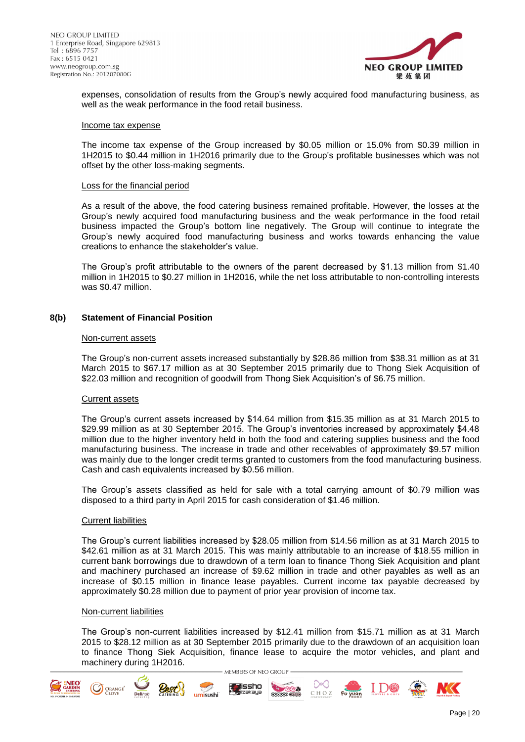

expenses, consolidation of results from the Group's newly acquired food manufacturing business, as well as the weak performance in the food retail business.

#### Income tax expense

The income tax expense of the Group increased by \$0.05 million or 15.0% from \$0.39 million in 1H2015 to \$0.44 million in 1H2016 primarily due to the Group's profitable businesses which was not offset by the other loss-making segments.

#### Loss for the financial period

As a result of the above, the food catering business remained profitable. However, the losses at the Group's newly acquired food manufacturing business and the weak performance in the food retail business impacted the Group's bottom line negatively. The Group will continue to integrate the Group's newly acquired food manufacturing business and works towards enhancing the value creations to enhance the stakeholder's value.

The Group's profit attributable to the owners of the parent decreased by \$1.13 million from \$1.40 million in 1H2015 to \$0.27 million in 1H2016, while the net loss attributable to non-controlling interests was \$0.47 million.

### **8(b) Statement of Financial Position**

#### Non-current assets

The Group's non-current assets increased substantially by \$28.86 million from \$38.31 million as at 31 March 2015 to \$67.17 million as at 30 September 2015 primarily due to Thong Siek Acquisition of \$22.03 million and recognition of goodwill from Thong Siek Acquisition's of \$6.75 million.

### Current assets

The Group's current assets increased by \$14.64 million from \$15.35 million as at 31 March 2015 to \$29.99 million as at 30 September 2015. The Group's inventories increased by approximately \$4.48 million due to the higher inventory held in both the food and catering supplies business and the food manufacturing business. The increase in trade and other receivables of approximately \$9.57 million was mainly due to the longer credit terms granted to customers from the food manufacturing business. Cash and cash equivalents increased by \$0.56 million.

The Group's assets classified as held for sale with a total carrying amount of \$0.79 million was disposed to a third party in April 2015 for cash consideration of \$1.46 million.

#### Current liabilities

The Group's current liabilities increased by \$28.05 million from \$14.56 million as at 31 March 2015 to \$42.61 million as at 31 March 2015. This was mainly attributable to an increase of \$18.55 million in current bank borrowings due to drawdown of a term loan to finance Thong Siek Acquisition and plant and machinery purchased an increase of \$9.62 million in trade and other payables as well as an increase of \$0.15 million in finance lease payables. Current income tax payable decreased by approximately \$0.28 million due to payment of prior year provision of income tax.

#### Non-current liabilities

**CO** ORANGE<sup>®</sup>

The Group's non-current liabilities increased by \$12.41 million from \$15.71 million as at 31 March 2015 to \$28.12 million as at 30 September 2015 primarily due to the drawdown of an acquisition loan to finance Thong Siek Acquisition, finance lease to acquire the motor vehicles, and plant and machinery during 1H2016.MEMBERS OF NEO GROUP

lissh∩

zəkaya

umisushi

**TESPES** 

**GERER COOP** 

CHOZ



I D®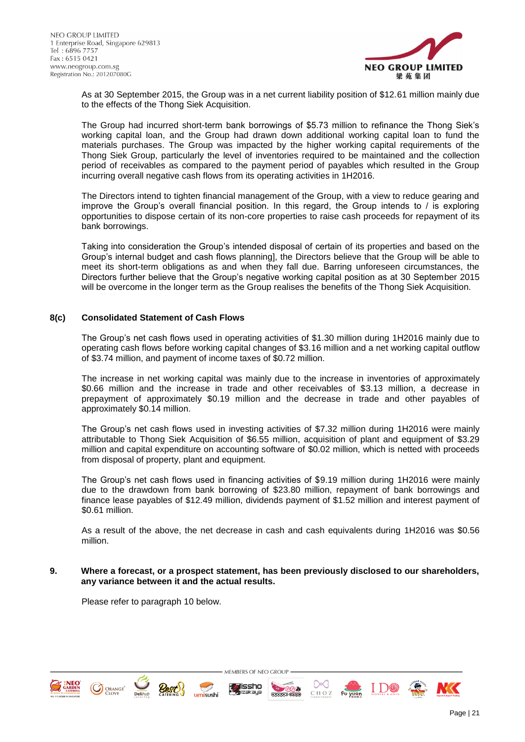

As at 30 September 2015, the Group was in a net current liability position of \$12.61 million mainly due to the effects of the Thong Siek Acquisition.

The Group had incurred short-term bank borrowings of \$5.73 million to refinance the Thong Siek's working capital loan, and the Group had drawn down additional working capital loan to fund the materials purchases. The Group was impacted by the higher working capital requirements of the Thong Siek Group, particularly the level of inventories required to be maintained and the collection period of receivables as compared to the payment period of payables which resulted in the Group incurring overall negative cash flows from its operating activities in 1H2016.

The Directors intend to tighten financial management of the Group, with a view to reduce gearing and improve the Group's overall financial position. In this regard, the Group intends to / is exploring opportunities to dispose certain of its non-core properties to raise cash proceeds for repayment of its bank borrowings.

Taking into consideration the Group's intended disposal of certain of its properties and based on the Group's internal budget and cash flows planning], the Directors believe that the Group will be able to meet its short-term obligations as and when they fall due. Barring unforeseen circumstances, the Directors further believe that the Group's negative working capital position as at 30 September 2015 will be overcome in the longer term as the Group realises the benefits of the Thong Siek Acquisition.

## **8(c) Consolidated Statement of Cash Flows**

The Group's net cash flows used in operating activities of \$1.30 million during 1H2016 mainly due to operating cash flows before working capital changes of \$3.16 million and a net working capital outflow of \$3.74 million, and payment of income taxes of \$0.72 million.

The increase in net working capital was mainly due to the increase in inventories of approximately \$0.66 million and the increase in trade and other receivables of \$3.13 million, a decrease in prepayment of approximately \$0.19 million and the decrease in trade and other payables of approximately \$0.14 million.

The Group's net cash flows used in investing activities of \$7.32 million during 1H2016 were mainly attributable to Thong Siek Acquisition of \$6.55 million, acquisition of plant and equipment of \$3.29 million and capital expenditure on accounting software of \$0.02 million, which is netted with proceeds from disposal of property, plant and equipment.

The Group's net cash flows used in financing activities of \$9.19 million during 1H2016 were mainly due to the drawdown from bank borrowing of \$23.80 million, repayment of bank borrowings and finance lease payables of \$12.49 million, dividends payment of \$1.52 million and interest payment of \$0.61 million.

As a result of the above, the net decrease in cash and cash equivalents during 1H2016 was \$0.56 million.

### **9. Where a forecast, or a prospect statement, has been previously disclosed to our shareholders, any variance between it and the actual results.**

MEMBERS OF NEO GROUP

**Trefered** 

**GERERD COOK** 

CHOZ

lissh∩

umisushi

Please refer to paragraph 10 below.



**ORANGE** 



I D®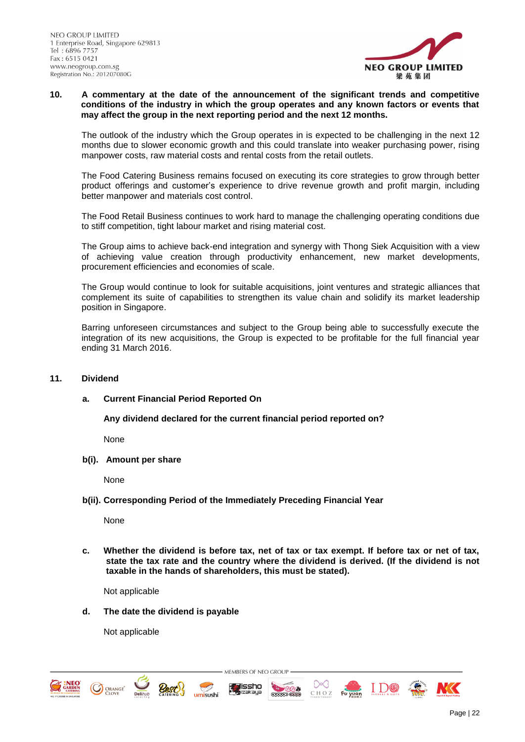

### **10. A commentary at the date of the announcement of the significant trends and competitive conditions of the industry in which the group operates and any known factors or events that may affect the group in the next reporting period and the next 12 months.**

The outlook of the industry which the Group operates in is expected to be challenging in the next 12 months due to slower economic growth and this could translate into weaker purchasing power, rising manpower costs, raw material costs and rental costs from the retail outlets.

The Food Catering Business remains focused on executing its core strategies to grow through better product offerings and customer's experience to drive revenue growth and profit margin, including better manpower and materials cost control.

The Food Retail Business continues to work hard to manage the challenging operating conditions due to stiff competition, tight labour market and rising material cost.

The Group aims to achieve back-end integration and synergy with Thong Siek Acquisition with a view of achieving value creation through productivity enhancement, new market developments, procurement efficiencies and economies of scale.

The Group would continue to look for suitable acquisitions, joint ventures and strategic alliances that complement its suite of capabilities to strengthen its value chain and solidify its market leadership position in Singapore.

Barring unforeseen circumstances and subject to the Group being able to successfully execute the integration of its new acquisitions, the Group is expected to be profitable for the full financial year ending 31 March 2016.

## **11. Dividend**

## **a. Current Financial Period Reported On**

**Any dividend declared for the current financial period reported on?** 

None

**b(i). Amount per share**

None

**b(ii). Corresponding Period of the Immediately Preceding Financial Year**

None

**c. Whether the dividend is before tax, net of tax or tax exempt. If before tax or net of tax, state the tax rate and the country where the dividend is derived. (If the dividend is not taxable in the hands of shareholders, this must be stated).**

**TESTS** 

MEMBERS OF NEO GROUP

lissh∩

Not applicable

**d. The date the dividend is payable**

Not applicable

**O** ORANGE<sup>\*</sup>



I D®

Page | 22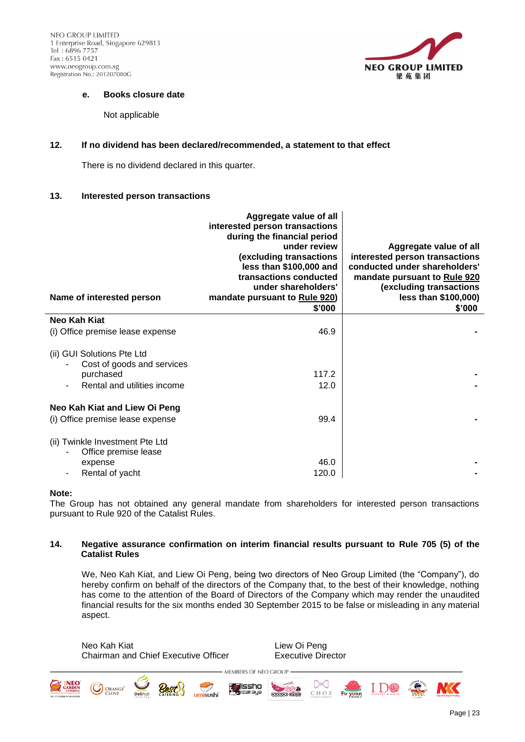NEO GROUP LIMITED 1 Enterprise Road, Singapore 629813 Tel: 6896 7757 Fax: 6515 0421 www.neogroup.com.sg Registration No.: 201207080G



### **e. Books closure date**

Not applicable

## **12. If no dividend has been declared/recommended, a statement to that effect**

There is no dividend declared in this quarter.

## **13. Interested person transactions**

| Name of interested person                                                                                 | Aggregate value of all<br>interested person transactions<br>during the financial period<br>under review<br>(excluding transactions<br>less than \$100,000 and<br>transactions conducted<br>under shareholders'<br>mandate pursuant to Rule 920)<br>\$'000 | Aggregate value of all<br>interested person transactions<br>conducted under shareholders'<br>mandate pursuant to Rule 920<br>(excluding transactions<br>less than \$100,000)<br>\$'000 |
|-----------------------------------------------------------------------------------------------------------|-----------------------------------------------------------------------------------------------------------------------------------------------------------------------------------------------------------------------------------------------------------|----------------------------------------------------------------------------------------------------------------------------------------------------------------------------------------|
| Neo Kah Kiat                                                                                              |                                                                                                                                                                                                                                                           |                                                                                                                                                                                        |
| (i) Office premise lease expense                                                                          | 46.9                                                                                                                                                                                                                                                      |                                                                                                                                                                                        |
| (ii) GUI Solutions Pte Ltd<br>Cost of goods and services<br>purchased<br>Rental and utilities income<br>٠ | 117.2<br>12.0                                                                                                                                                                                                                                             |                                                                                                                                                                                        |
| Neo Kah Kiat and Liew Oi Peng<br>(i) Office premise lease expense                                         | 99.4                                                                                                                                                                                                                                                      |                                                                                                                                                                                        |
| (ii) Twinkle Investment Pte Ltd<br>Office premise lease<br>expense<br>Rental of yacht                     | 46.0<br>120.0                                                                                                                                                                                                                                             |                                                                                                                                                                                        |

### **Note:**

The Group has not obtained any general mandate from shareholders for interested person transactions pursuant to Rule 920 of the Catalist Rules.

## **14. Negative assurance confirmation on interim financial results pursuant to Rule 705 (5) of the Catalist Rules**

MEMBERS OF NEO GROUP

lissho

umisushi

iaan it<br>izakaya

We, Neo Kah Kiat, and Liew Oi Peng, being two directors of Neo Group Limited (the "Company"), do hereby confirm on behalf of the directors of the Company that, to the best of their knowledge, nothing has come to the attention of the Board of Directors of the Company which may render the unaudited financial results for the six months ended 30 September 2015 to be false or misleading in any material aspect.

Neo Kah Kiat **Liew Oi Peng** Chairman and Chief Executive Officer Executive Director

**TESPES** 

**MANAMD COON** 

᠗⋖

CHOZ



**ORANGE** 



I D®